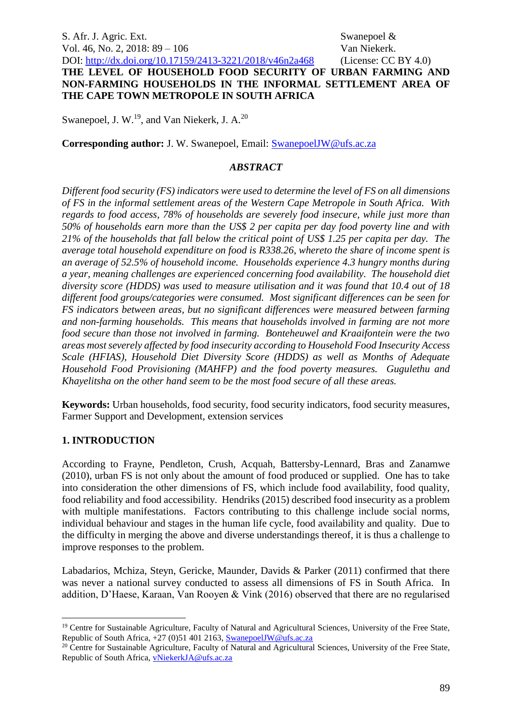S. Afr. J. Agric. Ext. Swanepoel & Vol. 46, No. 2, 2018: 89 – 106 Van Niekerk.

DOI: <http://dx.doi.org/10.17159/2413-3221/2018/v46n2a468> (License: CC BY 4.0) **THE LEVEL OF HOUSEHOLD FOOD SECURITY OF URBAN FARMING AND NON-FARMING HOUSEHOLDS IN THE INFORMAL SETTLEMENT AREA OF THE CAPE TOWN METROPOLE IN SOUTH AFRICA**

Swanepoel, J. W.<sup>19</sup>, and Van Niekerk, J. A.<sup>20</sup>

**Corresponding author:** J. W. Swanepoel, Email: [SwanepoelJW@ufs.ac.za](mailto:SwanepoelJW@ufs.ac.za)

#### *ABSTRACT*

*Different food security (FS) indicators were used to determine the level of FS on all dimensions of FS in the informal settlement areas of the Western Cape Metropole in South Africa. With regards to food access, 78% of households are severely food insecure, while just more than 50% of households earn more than the US\$ 2 per capita per day food poverty line and with 21% of the households that fall below the critical point of US\$ 1.25 per capita per day. The average total household expenditure on food is R338.26, whereto the share of income spent is an average of 52.5% of household income. Households experience 4.3 hungry months during a year, meaning challenges are experienced concerning food availability. The household diet diversity score (HDDS) was used to measure utilisation and it was found that 10.4 out of 18 different food groups/categories were consumed. Most significant differences can be seen for FS indicators between areas, but no significant differences were measured between farming and non-farming households. This means that households involved in farming are not more food secure than those not involved in farming. Bonteheuwel and Kraaifontein were the two areas most severely affected by food insecurity according to Household Food Insecurity Access Scale (HFIAS), Household Diet Diversity Score (HDDS) as well as Months of Adequate Household Food Provisioning (MAHFP) and the food poverty measures. Gugulethu and Khayelitsha on the other hand seem to be the most food secure of all these areas.*

**Keywords:** Urban households, food security, food security indicators, food security measures, Farmer Support and Development, extension services

#### **1. INTRODUCTION**

1

According to Frayne, Pendleton, Crush, Acquah, Battersby-Lennard, Bras and Zanamwe (2010), urban FS is not only about the amount of food produced or supplied. One has to take into consideration the other dimensions of FS, which include food availability, food quality, food reliability and food accessibility. Hendriks (2015) described food insecurity as a problem with multiple manifestations. Factors contributing to this challenge include social norms, individual behaviour and stages in the human life cycle, food availability and quality. Due to the difficulty in merging the above and diverse understandings thereof, it is thus a challenge to improve responses to the problem.

Labadarios, Mchiza, Steyn, Gericke, Maunder, Davids & Parker (2011) confirmed that there was never a national survey conducted to assess all dimensions of FS in South Africa. In addition, D'Haese, Karaan, Van Rooyen & Vink (2016) observed that there are no regularised

<sup>&</sup>lt;sup>19</sup> Centre for Sustainable Agriculture, Faculty of Natural and Agricultural Sciences, University of the Free State, Republic of South Africa, +27 (0)51 401 2163[, SwanepoelJW@ufs.ac.za](mailto:SwanepoelJW@ufs.ac.za)

<sup>&</sup>lt;sup>20</sup> Centre for Sustainable Agriculture, Faculty of Natural and Agricultural Sciences, University of the Free State, Republic of South Africa, [vNiekerkJA@ufs.ac.za](mailto:vNiekerkJA@ufs.ac.za)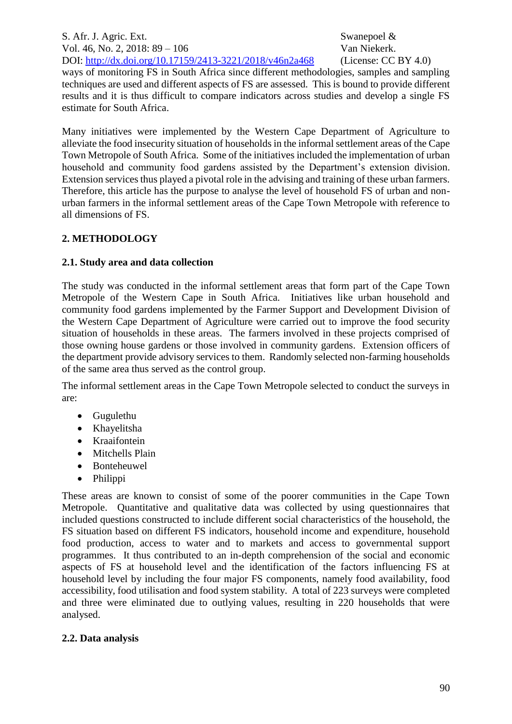ways of monitoring FS in South Africa since different methodologies, samples and sampling techniques are used and different aspects of FS are assessed. This is bound to provide different results and it is thus difficult to compare indicators across studies and develop a single FS estimate for South Africa.

Many initiatives were implemented by the Western Cape Department of Agriculture to alleviate the food insecurity situation of households in the informal settlement areas of the Cape Town Metropole of South Africa. Some of the initiatives included the implementation of urban household and community food gardens assisted by the Department's extension division. Extension services thus played a pivotal role in the advising and training of these urban farmers. Therefore, this article has the purpose to analyse the level of household FS of urban and nonurban farmers in the informal settlement areas of the Cape Town Metropole with reference to all dimensions of FS.

## **2. METHODOLOGY**

## **2.1. Study area and data collection**

The study was conducted in the informal settlement areas that form part of the Cape Town Metropole of the Western Cape in South Africa. Initiatives like urban household and community food gardens implemented by the Farmer Support and Development Division of the Western Cape Department of Agriculture were carried out to improve the food security situation of households in these areas. The farmers involved in these projects comprised of those owning house gardens or those involved in community gardens. Extension officers of the department provide advisory services to them. Randomly selected non-farming households of the same area thus served as the control group.

The informal settlement areas in the Cape Town Metropole selected to conduct the surveys in are:

- Gugulethu
- Khayelitsha
- Kraaifontein
- Mitchells Plain
- Bonteheuwel
- Philippi

These areas are known to consist of some of the poorer communities in the Cape Town Metropole. Quantitative and qualitative data was collected by using questionnaires that included questions constructed to include different social characteristics of the household, the FS situation based on different FS indicators, household income and expenditure, household food production, access to water and to markets and access to governmental support programmes. It thus contributed to an in-depth comprehension of the social and economic aspects of FS at household level and the identification of the factors influencing FS at household level by including the four major FS components, namely food availability, food accessibility, food utilisation and food system stability. A total of 223 surveys were completed and three were eliminated due to outlying values, resulting in 220 households that were analysed.

#### **2.2. Data analysis**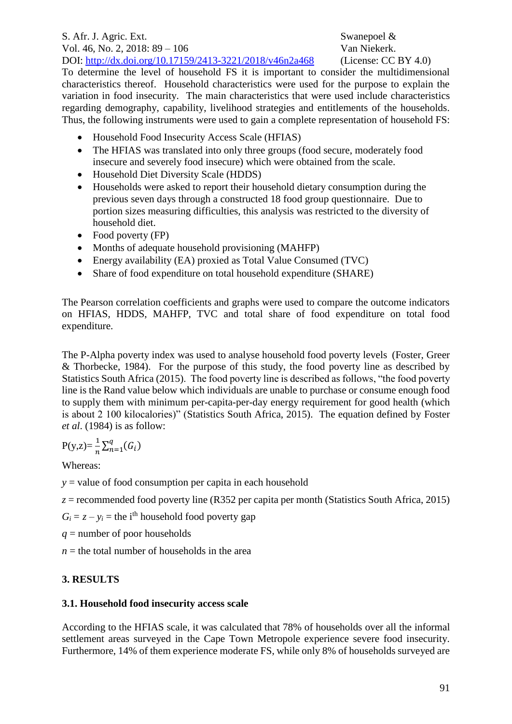To determine the level of household FS it is important to consider the multidimensional characteristics thereof. Household characteristics were used for the purpose to explain the variation in food insecurity. The main characteristics that were used include characteristics regarding demography, capability, livelihood strategies and entitlements of the households. Thus, the following instruments were used to gain a complete representation of household FS:

- Household Food Insecurity Access Scale (HFIAS)
- The HFIAS was translated into only three groups (food secure, moderately food insecure and severely food insecure) which were obtained from the scale.
- Household Diet Diversity Scale (HDDS)
- Households were asked to report their household dietary consumption during the previous seven days through a constructed 18 food group questionnaire. Due to portion sizes measuring difficulties, this analysis was restricted to the diversity of household diet.
- Food poverty (FP)
- Months of adequate household provisioning (MAHFP)
- Energy availability (EA) proxied as Total Value Consumed (TVC)
- Share of food expenditure on total household expenditure (SHARE)

The Pearson correlation coefficients and graphs were used to compare the outcome indicators on HFIAS, HDDS, MAHFP, TVC and total share of food expenditure on total food expenditure.

The P-Alpha poverty index was used to analyse household food poverty levels (Foster, Greer & Thorbecke, 1984). For the purpose of this study, the food poverty line as described by Statistics South Africa (2015). The food poverty line is described as follows, "the food poverty line is the Rand value below which individuals are unable to purchase or consume enough food to supply them with minimum per-capita-per-day energy requirement for good health (which is about 2 100 kilocalories)" (Statistics South Africa, 2015). The equation defined by Foster *et al*. (1984) is as follow:

$$
P(y,z) = \frac{1}{n} \sum_{n=1}^{q} (G_i)
$$

Whereas:

*y* = value of food consumption per capita in each household

 $z =$  recommended food poverty line (R352 per capita per month (Statistics South Africa, 2015)

 $G_i = z - y_i$  = the i<sup>th</sup> household food poverty gap

*q* = number of poor households

 $n =$  the total number of households in the area

# **3. RESULTS**

# **3.1. Household food insecurity access scale**

According to the HFIAS scale, it was calculated that 78% of households over all the informal settlement areas surveyed in the Cape Town Metropole experience severe food insecurity. Furthermore, 14% of them experience moderate FS, while only 8% of households surveyed are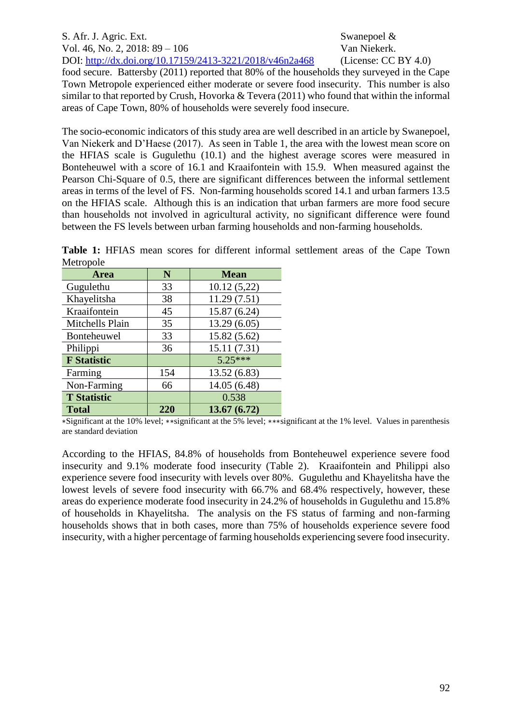# S. Afr. J. Agric. Ext. Swanepoel & Vol. 46, No. 2, 2018: 89 – 106 Van Niekerk. DOI: <http://dx.doi.org/10.17159/2413-3221/2018/v46n2a468> (License: CC BY 4.0) food secure. Battersby (2011) reported that 80% of the households they surveyed in the Cape Town Metropole experienced either moderate or severe food insecurity. This number is also similar to that reported by Crush, Hovorka & Tevera (2011) who found that within the informal areas of Cape Town, 80% of households were severely food insecure.

The socio-economic indicators of this study area are well described in an article by Swanepoel, Van Niekerk and D'Haese (2017). As seen in [Table 1,](#page-3-0) the area with the lowest mean score on the HFIAS scale is Gugulethu (10.1) and the highest average scores were measured in Bonteheuwel with a score of 16.1 and Kraaifontein with 15.9. When measured against the Pearson Chi-Square of 0.5, there are significant differences between the informal settlement areas in terms of the level of FS. Non-farming households scored 14.1 and urban farmers 13.5 on the HFIAS scale. Although this is an indication that urban farmers are more food secure than households not involved in agricultural activity, no significant difference were found between the FS levels between urban farming households and non-farming households.

<span id="page-3-0"></span>**Table 1:** HFIAS mean scores for different informal settlement areas of the Cape Town Metropole

| <b>Area</b>        | N   | <b>Mean</b>  |
|--------------------|-----|--------------|
| Gugulethu          | 33  | 10.12(5,22)  |
| Khayelitsha        | 38  | 11.29(7.51)  |
| Kraaifontein       | 45  | 15.87 (6.24) |
| Mitchells Plain    | 35  | 13.29(6.05)  |
| Bonteheuwel        | 33  | 15.82 (5.62) |
| Philippi           | 36  | 15.11(7.31)  |
| <b>F</b> Statistic |     | $5.25***$    |
| Farming            | 154 | 13.52 (6.83) |
| Non-Farming        | 66  | 14.05 (6.48) |
| <b>T</b> Statistic |     | 0.538        |
| <b>Total</b>       | 220 | 13.67(6.72)  |

∗Significant at the 10% level; ∗∗significant at the 5% level; ∗∗∗significant at the 1% level. Values in parenthesis are standard deviation

According to the HFIAS, 84.8% of households from Bonteheuwel experience severe food insecurity and 9.1% moderate food insecurity [\(Table 2\)](#page-4-0). Kraaifontein and Philippi also experience severe food insecurity with levels over 80%. Gugulethu and Khayelitsha have the lowest levels of severe food insecurity with 66.7% and 68.4% respectively, however, these areas do experience moderate food insecurity in 24.2% of households in Gugulethu and 15.8% of households in Khayelitsha. The analysis on the FS status of farming and non-farming households shows that in both cases, more than 75% of households experience severe food insecurity, with a higher percentage of farming households experiencing severe food insecurity.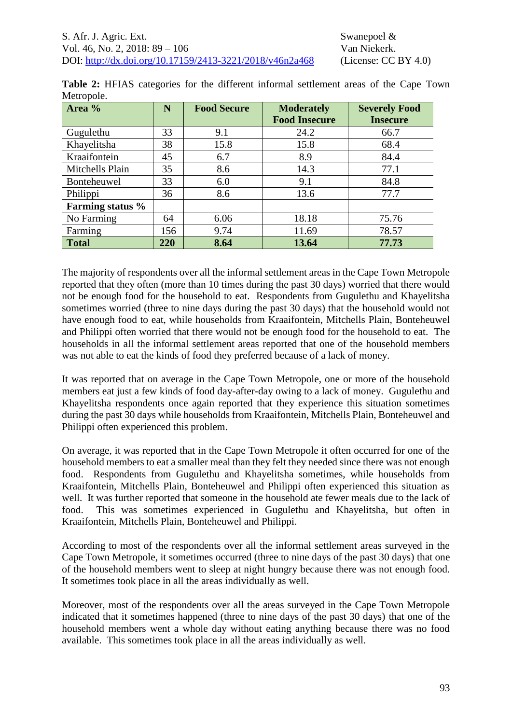| Area %           | N   | <b>Food Secure</b><br><b>Moderately</b> |                      | <b>Severely Food</b> |
|------------------|-----|-----------------------------------------|----------------------|----------------------|
|                  |     |                                         | <b>Food Insecure</b> | <b>Insecure</b>      |
| Gugulethu        | 33  | 9.1                                     | 24.2                 | 66.7                 |
| Khayelitsha      | 38  | 15.8                                    | 15.8                 | 68.4                 |
| Kraaifontein     | 45  | 6.7                                     | 8.9                  | 84.4                 |
| Mitchells Plain  | 35  | 8.6                                     | 14.3                 | 77.1                 |
| Bonteheuwel      | 33  | 6.0                                     | 9.1                  | 84.8                 |
| Philippi         | 36  | 8.6                                     | 13.6                 | 77.7                 |
| Farming status % |     |                                         |                      |                      |
| No Farming       | 64  | 6.06                                    | 18.18                | 75.76                |
| Farming          | 156 | 9.74                                    | 11.69                | 78.57                |
| <b>Total</b>     | 220 | 8.64                                    | 13.64                | 77.73                |

<span id="page-4-0"></span>**Table 2:** HFIAS categories for the different informal settlement areas of the Cape Town Metropole.

The majority of respondents over all the informal settlement areas in the Cape Town Metropole reported that they often (more than 10 times during the past 30 days) worried that there would not be enough food for the household to eat. Respondents from Gugulethu and Khayelitsha sometimes worried (three to nine days during the past 30 days) that the household would not have enough food to eat, while households from Kraaifontein, Mitchells Plain, Bonteheuwel and Philippi often worried that there would not be enough food for the household to eat. The households in all the informal settlement areas reported that one of the household members was not able to eat the kinds of food they preferred because of a lack of money.

It was reported that on average in the Cape Town Metropole, one or more of the household members eat just a few kinds of food day-after-day owing to a lack of money. Gugulethu and Khayelitsha respondents once again reported that they experience this situation sometimes during the past 30 days while households from Kraaifontein, Mitchells Plain, Bonteheuwel and Philippi often experienced this problem.

On average, it was reported that in the Cape Town Metropole it often occurred for one of the household members to eat a smaller meal than they felt they needed since there was not enough food. Respondents from Gugulethu and Khayelitsha sometimes, while households from Kraaifontein, Mitchells Plain, Bonteheuwel and Philippi often experienced this situation as well. It was further reported that someone in the household ate fewer meals due to the lack of food. This was sometimes experienced in Gugulethu and Khayelitsha, but often in Kraaifontein, Mitchells Plain, Bonteheuwel and Philippi.

According to most of the respondents over all the informal settlement areas surveyed in the Cape Town Metropole, it sometimes occurred (three to nine days of the past 30 days) that one of the household members went to sleep at night hungry because there was not enough food. It sometimes took place in all the areas individually as well.

Moreover, most of the respondents over all the areas surveyed in the Cape Town Metropole indicated that it sometimes happened (three to nine days of the past 30 days) that one of the household members went a whole day without eating anything because there was no food available. This sometimes took place in all the areas individually as well.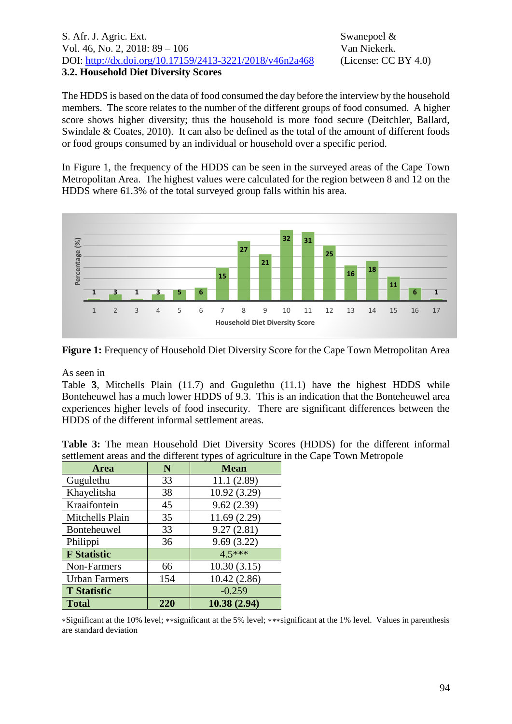#### S. Afr. J. Agric. Ext. Swanepoel & Vol. 46, No. 2, 2018: 89 – 106 Van Niekerk. DOI: <http://dx.doi.org/10.17159/2413-3221/2018/v46n2a468> (License: CC BY 4.0) **3.2. Household Diet Diversity Scores**

The HDDS is based on the data of food consumed the day before the interview by the household members. The score relates to the number of the different groups of food consumed. A higher score shows higher diversity; thus the household is more food secure (Deitchler, Ballard, Swindale & Coates, 2010). It can also be defined as the total of the amount of different foods or food groups consumed by an individual or household over a specific period.

In [Figure 1,](#page-5-0) the frequency of the HDDS can be seen in the surveyed areas of the Cape Town Metropolitan Area. The highest values were calculated for the region between 8 and 12 on the HDDS where 61.3% of the total surveyed group falls within his area.



<span id="page-5-0"></span>**Figure 1:** Frequency of Household Diet Diversity Score for the Cape Town Metropolitan Area

As seen in

[Table](#page-5-1) **3**, Mitchells Plain (11.7) and Gugulethu (11.1) have the highest HDDS while Bonteheuwel has a much lower HDDS of 9.3. This is an indication that the Bonteheuwel area experiences higher levels of food insecurity. There are significant differences between the HDDS of the different informal settlement areas.

| <b>Area</b>          | N   | <b>Mean</b>  |  |  |
|----------------------|-----|--------------|--|--|
| Gugulethu            | 33  | 11.1(2.89)   |  |  |
| Khayelitsha          | 38  | 10.92 (3.29) |  |  |
| Kraaifontein         | 45  | 9.62(2.39)   |  |  |
| Mitchells Plain      | 35  | 11.69(2.29)  |  |  |
| <b>Bonteheuwel</b>   | 33  | 9.27(2.81)   |  |  |
| Philippi             | 36  | 9.69(3.22)   |  |  |
| <b>F</b> Statistic   |     | $4.5***$     |  |  |
| Non-Farmers          | 66  | 10.30(3.15)  |  |  |
| <b>Urban Farmers</b> | 154 | 10.42(2.86)  |  |  |
| <b>T</b> Statistic   |     | $-0.259$     |  |  |
| <b>Total</b>         | 220 | 10.38(2.94)  |  |  |

<span id="page-5-1"></span>**Table 3:** The mean Household Diet Diversity Scores (HDDS) for the different informal settlement areas and the different types of agriculture in the Cape Town Metropole

∗Significant at the 10% level; ∗∗significant at the 5% level; ∗∗∗significant at the 1% level. Values in parenthesis are standard deviation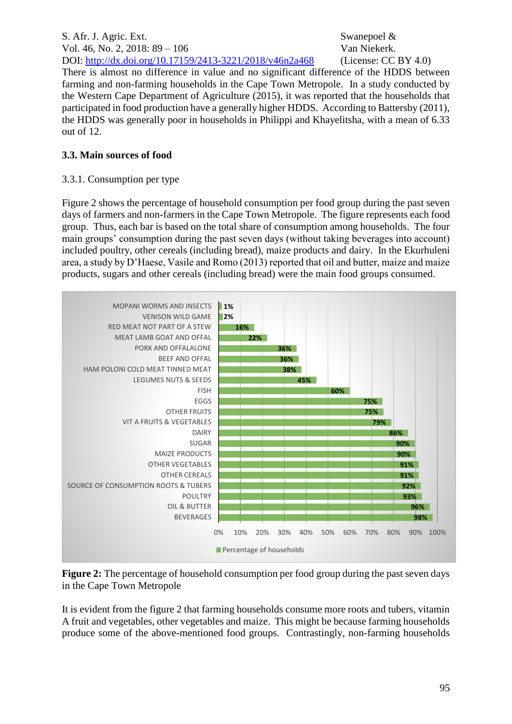S. Afr. J. Agric. Ext. Swanepoel & Vol. 46, No. 2, 2018: 89 – 106 Van Niekerk. DOI: <http://dx.doi.org/10.17159/2413-3221/2018/v46n2a468> (License: CC BY 4.0) There is almost no difference in value and no significant difference of the HDDS between farming and non-farming households in the Cape Town Metropole. In a study conducted by the Western Cape Department of Agriculture (2015), it was reported that the households that participated in food production have a generally higher HDDS. According to Battersby (2011), the HDDS was generally poor in households in Philippi and Khayelitsha, with a mean of 6.33 out of 12.

## **3.3. Main sources of food**

#### 3.3.1. Consumption per type

[Figure 2](#page-6-0) shows the percentage of household consumption per food group during the past seven days of farmers and non-farmers in the Cape Town Metropole. The figure represents each food group. Thus, each bar is based on the total share of consumption among households. The four main groups' consumption during the past seven days (without taking beverages into account) included poultry, other cereals (including bread), maize products and dairy. In the Ekurhuleni area, a study by D'Haese, Vasile and Romo (2013) reported that oil and butter, maize and maize products, sugars and other cereals (including bread) were the main food groups consumed.



<span id="page-6-0"></span>**Figure 2:** The percentage of household consumption per food group during the past seven days in the Cape Town Metropole

It is evident from the figure 2 that farming households consume more roots and tubers, vitamin A fruit and vegetables, other vegetables and maize. This might be because farming households produce some of the above-mentioned food groups. Contrastingly, non-farming households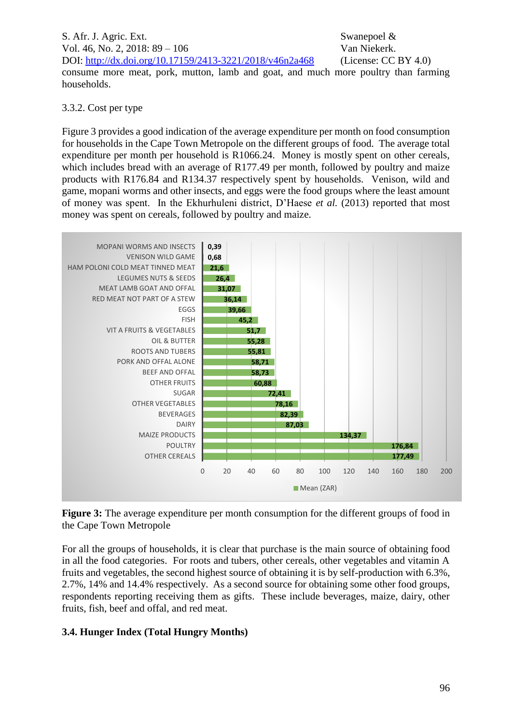S. Afr. J. Agric. Ext. Swanepoel & Vol. 46, No. 2, 2018: 89 – 106 Van Niekerk. DOI: <http://dx.doi.org/10.17159/2413-3221/2018/v46n2a468> (License: CC BY 4.0) consume more meat, pork, mutton, lamb and goat, and much more poultry than farming households.

#### 3.3.2. Cost per type

[Figure 3](#page-7-0) provides a good indication of the average expenditure per month on food consumption for households in the Cape Town Metropole on the different groups of food. The average total expenditure per month per household is R1066.24. Money is mostly spent on other cereals, which includes bread with an average of R177.49 per month, followed by poultry and maize products with R176.84 and R134.37 respectively spent by households. Venison, wild and game, mopani worms and other insects, and eggs were the food groups where the least amount of money was spent. In the Ekhurhuleni district, D'Haese *et al.* (2013) reported that most money was spent on cereals, followed by poultry and maize.



<span id="page-7-0"></span>**Figure 3:** The average expenditure per month consumption for the different groups of food in the Cape Town Metropole

For all the groups of households, it is clear that purchase is the main source of obtaining food in all the food categories. For roots and tubers, other cereals, other vegetables and vitamin A fruits and vegetables, the second highest source of obtaining it is by self-production with 6.3%, 2.7%, 14% and 14.4% respectively. As a second source for obtaining some other food groups, respondents reporting receiving them as gifts. These include beverages, maize, dairy, other fruits, fish, beef and offal, and red meat.

#### **3.4. Hunger Index (Total Hungry Months)**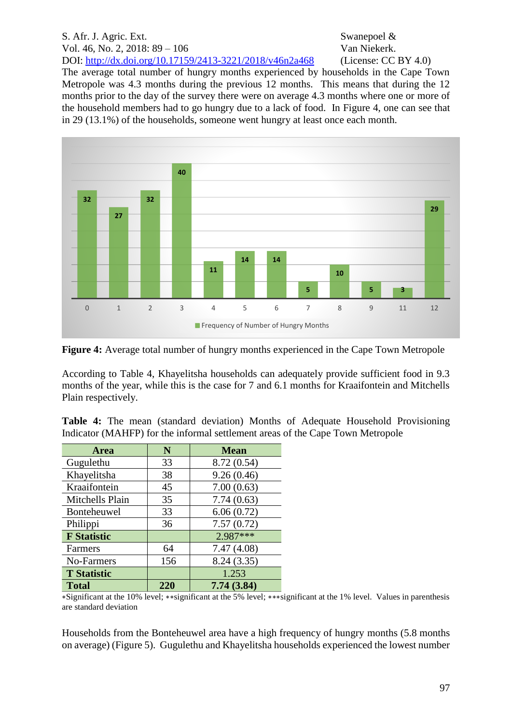The average total number of hungry months experienced by households in the Cape Town Metropole was 4.3 months during the previous 12 months. This means that during the 12 months prior to the day of the survey there were on average 4.3 months where one or more of the household members had to go hungry due to a lack of food. In [Figure 4,](#page-8-0) one can see that in 29 (13.1%) of the households, someone went hungry at least once each month.



<span id="page-8-0"></span>**Figure 4:** Average total number of hungry months experienced in the Cape Town Metropole

According to [Table](#page-8-1) 4, Khayelitsha households can adequately provide sufficient food in 9.3 months of the year, while this is the case for 7 and 6.1 months for Kraaifontein and Mitchells Plain respectively.

<span id="page-8-1"></span>**Table 4:** The mean (standard deviation) Months of Adequate Household Provisioning Indicator (MAHFP) for the informal settlement areas of the Cape Town Metropole

| Area               | N   | <b>Mean</b> |
|--------------------|-----|-------------|
| Gugulethu          | 33  | 8.72 (0.54) |
| Khayelitsha        | 38  | 9.26(0.46)  |
| Kraaifontein       | 45  | 7.00(0.63)  |
| Mitchells Plain    | 35  | 7.74(0.63)  |
| Bonteheuwel        | 33  | 6.06(0.72)  |
| Philippi           | 36  | 7.57(0.72)  |
| <b>F</b> Statistic |     | 2.987***    |
| Farmers            | 64  | 7.47(4.08)  |
| No-Farmers         | 156 | 8.24(3.35)  |
| <b>T</b> Statistic |     | 1.253       |
| <b>Total</b>       | 220 | 7.74(3.84)  |

∗Significant at the 10% level; ∗∗significant at the 5% level; ∗∗∗significant at the 1% level. Values in parenthesis are standard deviation

Households from the Bonteheuwel area have a high frequency of hungry months (5.8 months on average) [\(Figure 5\)](#page-9-0). Gugulethu and Khayelitsha households experienced the lowest number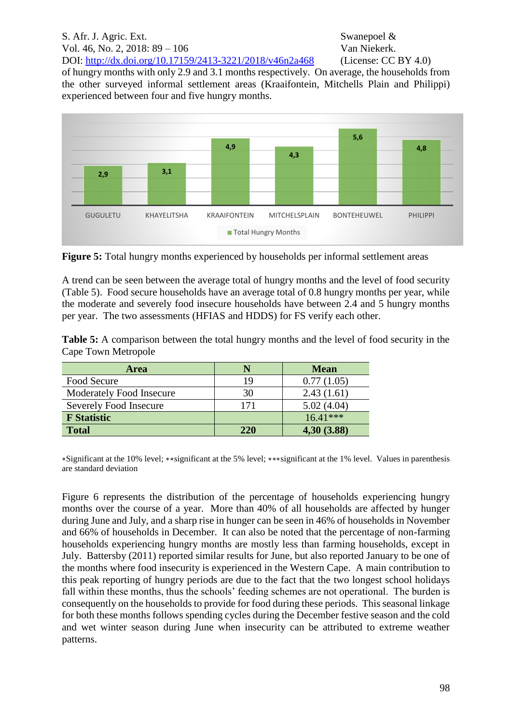# S. Afr. J. Agric. Ext. Swanepoel & Vol. 46, No. 2, 2018: 89 – 106 Van Niekerk.

DOI: <http://dx.doi.org/10.17159/2413-3221/2018/v46n2a468> (License: CC BY 4.0)

of hungry months with only 2.9 and 3.1 months respectively. On average, the households from the other surveyed informal settlement areas (Kraaifontein, Mitchells Plain and Philippi) experienced between four and five hungry months.



<span id="page-9-0"></span>**Figure 5:** Total hungry months experienced by households per informal settlement areas

A trend can be seen between the average total of hungry months and the level of food security [\(Table 5\)](#page-9-1). Food secure households have an average total of 0.8 hungry months per year, while the moderate and severely food insecure households have between 2.4 and 5 hungry months per year. The two assessments (HFIAS and HDDS) for FS verify each other.

<span id="page-9-1"></span>**Table 5:** A comparison between the total hungry months and the level of food security in the Cape Town Metropole

| <b>Area</b>                     |     | <b>Mean</b> |
|---------------------------------|-----|-------------|
| Food Secure                     | 19  | 0.77(1.05)  |
| <b>Moderately Food Insecure</b> | 30  | 2.43(1.61)  |
| Severely Food Insecure          | 171 | 5.02(4.04)  |
| <b>F</b> Statistic              |     | $16.41***$  |
| <b>Total</b>                    | 220 | 4,30 (3.88) |

∗Significant at the 10% level; ∗∗significant at the 5% level; ∗∗∗significant at the 1% level. Values in parenthesis are standard deviation

[Figure 6](#page-10-0) represents the distribution of the percentage of households experiencing hungry months over the course of a year. More than 40% of all households are affected by hunger during June and July, and a sharp rise in hunger can be seen in 46% of households in November and 66% of households in December. It can also be noted that the percentage of non-farming households experiencing hungry months are mostly less than farming households, except in July. Battersby (2011) reported similar results for June, but also reported January to be one of the months where food insecurity is experienced in the Western Cape. A main contribution to this peak reporting of hungry periods are due to the fact that the two longest school holidays fall within these months, thus the schools' feeding schemes are not operational. The burden is consequently on the households to provide for food during these periods. This seasonal linkage for both these months follows spending cycles during the December festive season and the cold and wet winter season during June when insecurity can be attributed to extreme weather patterns.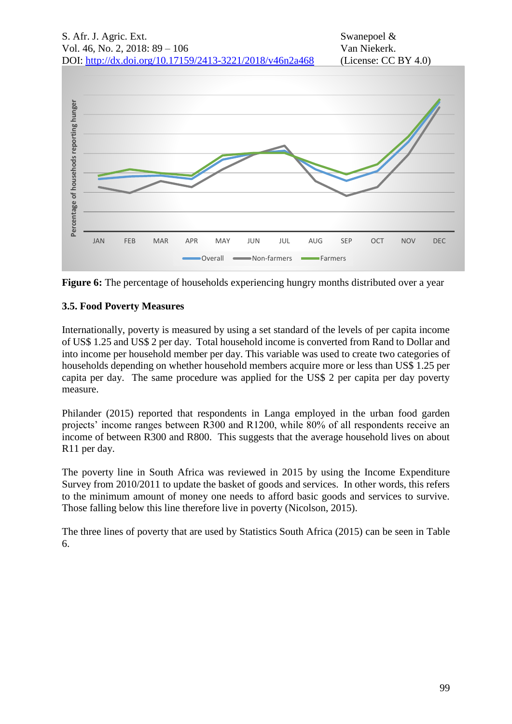

<span id="page-10-0"></span>

## **3.5. Food Poverty Measures**

Internationally, poverty is measured by using a set standard of the levels of per capita income of US\$ 1.25 and US\$ 2 per day. Total household income is converted from Rand to Dollar and into income per household member per day. This variable was used to create two categories of households depending on whether household members acquire more or less than US\$ 1.25 per capita per day. The same procedure was applied for the US\$ 2 per capita per day poverty measure.

Philander (2015) reported that respondents in Langa employed in the urban food garden projects' income ranges between R300 and R1200, while 80% of all respondents receive an income of between R300 and R800. This suggests that the average household lives on about R11 per day.

The poverty line in South Africa was reviewed in 2015 by using the Income Expenditure Survey from 2010/2011 to update the basket of goods and services. In other words, this refers to the minimum amount of money one needs to afford basic goods and services to survive. Those falling below this line therefore live in poverty (Nicolson, 2015).

The three lines of poverty that are used by Statistics South Africa (2015) can be seen in Table 6.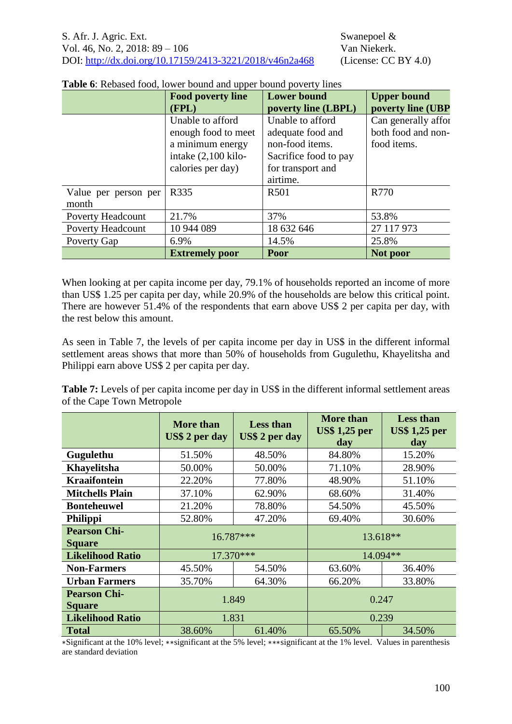|                               | <b>Food poverty line</b><br>(FPL)                                                                       | <b>Lower bound</b><br>poverty line (LBPL)                                                                          | <b>Upper bound</b><br>poverty line (UBP                  |
|-------------------------------|---------------------------------------------------------------------------------------------------------|--------------------------------------------------------------------------------------------------------------------|----------------------------------------------------------|
|                               | Unable to afford<br>enough food to meet<br>a minimum energy<br>intake (2,100 kilo-<br>calories per day) | Unable to afford<br>adequate food and<br>non-food items.<br>Sacrifice food to pay<br>for transport and<br>airtime. | Can generally affor<br>both food and non-<br>food items. |
| Value per person per<br>month | R335                                                                                                    | R <sub>501</sub>                                                                                                   | R770                                                     |
| <b>Poverty Headcount</b>      | 21.7%                                                                                                   | 37%                                                                                                                | 53.8%                                                    |
| <b>Poverty Headcount</b>      | 10 944 089                                                                                              | 18 632 646                                                                                                         | 27 117 973                                               |
| Poverty Gap                   | 6.9%                                                                                                    | 14.5%                                                                                                              | 25.8%                                                    |
|                               | <b>Extremely poor</b>                                                                                   | <b>Poor</b>                                                                                                        | Not poor                                                 |

**Table 6**: Rebased food, lower bound and upper bound poverty lines

When looking at per capita income per day, 79.1% of households reported an income of more than US\$ 1.25 per capita per day, while 20.9% of the households are below this critical point. There are however 51.4% of the respondents that earn above US\$ 2 per capita per day, with the rest below this amount.

As seen in [Table 7,](#page-11-0) the levels of per capita income per day in US\$ in the different informal settlement areas shows that more than 50% of households from Gugulethu, Khayelitsha and Philippi earn above US\$ 2 per capita per day.

<span id="page-11-0"></span>**Table 7:** Levels of per capita income per day in US\$ in the different informal settlement areas of the Cape Town Metropole

|                                      | More than<br>US\$ 2 per day | <b>Less than</b><br>US\$ 2 per day | <b>More than</b><br><b>US\$ 1,25 per</b><br>day | <b>Less than</b><br><b>US\$ 1,25 per</b><br>day |
|--------------------------------------|-----------------------------|------------------------------------|-------------------------------------------------|-------------------------------------------------|
| Gugulethu                            | 51.50%                      | 48.50%                             | 84.80%                                          | 15.20%                                          |
| Khayelitsha                          | 50.00%                      | 50.00%                             | 71.10%                                          | 28.90%                                          |
| <b>Kraaifontein</b>                  | 22.20%                      | 77.80%                             | 48.90%                                          | 51.10%                                          |
| <b>Mitchells Plain</b>               | 37.10%                      | 62.90%                             | 68.60%                                          | 31.40%                                          |
| <b>Bonteheuwel</b>                   | 21.20%                      | 78.80%                             | 54.50%                                          | 45.50%                                          |
| <b>Philippi</b>                      | 52.80%                      | 47.20%                             | 69.40%                                          | 30.60%                                          |
| <b>Pearson Chi-</b><br><b>Square</b> | 16.787***                   |                                    | $13.618**$                                      |                                                 |
| <b>Likelihood Ratio</b>              | 17.370***                   |                                    | 14.094**                                        |                                                 |
| <b>Non-Farmers</b>                   | 45.50%                      | 54.50%                             | 63.60%                                          | 36.40%                                          |
| <b>Urban Farmers</b>                 | 35.70%                      | 64.30%                             | 66.20%                                          | 33.80%                                          |
| <b>Pearson Chi-</b><br><b>Square</b> | 1.849                       |                                    |                                                 | 0.247                                           |
| <b>Likelihood Ratio</b>              | 1.831                       |                                    |                                                 | 0.239                                           |
| <b>Total</b>                         | 38.60%                      | 61.40%                             | 65.50%                                          | 34.50%                                          |

∗Significant at the 10% level; ∗∗significant at the 5% level; ∗∗∗significant at the 1% level. Values in parenthesis are standard deviation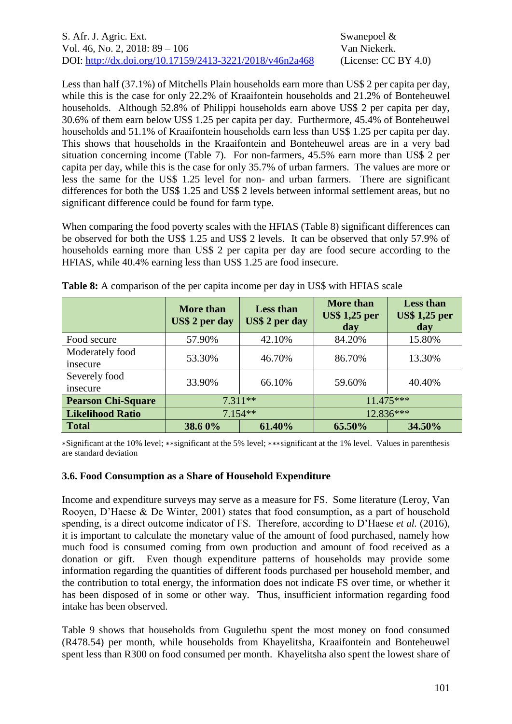Less than half (37.1%) of Mitchells Plain households earn more than US\$ 2 per capita per day, while this is the case for only 22.2% of Kraaifontein households and 21.2% of Bonteheuwel households. Although 52.8% of Philippi households earn above US\$ 2 per capita per day, 30.6% of them earn below US\$ 1.25 per capita per day. Furthermore, 45.4% of Bonteheuwel households and 51.1% of Kraaifontein households earn less than US\$ 1.25 per capita per day. This shows that households in the Kraaifontein and Bonteheuwel areas are in a very bad situation concerning income [\(Table 7\)](#page-11-0). For non-farmers, 45.5% earn more than US\$ 2 per capita per day, while this is the case for only 35.7% of urban farmers. The values are more or less the same for the US\$ 1.25 level for non- and urban farmers. There are significant differences for both the US\$ 1.25 and US\$ 2 levels between informal settlement areas, but no significant difference could be found for farm type.

When comparing the food poverty scales with the HFIAS [\(Table 8\)](#page-12-0) significant differences can be observed for both the US\$ 1.25 and US\$ 2 levels. It can be observed that only 57.9% of households earning more than US\$ 2 per capita per day are food secure according to the HFIAS, while 40.4% earning less than US\$ 1.25 are food insecure.

|                             | <b>More than</b><br>US\$ 2 per day | <b>Less than</b><br>US\$ 2 per day | <b>More than</b><br><b>US\$ 1,25 per</b><br>day | <b>Less than</b><br><b>US\$ 1,25 per</b><br>day |
|-----------------------------|------------------------------------|------------------------------------|-------------------------------------------------|-------------------------------------------------|
| Food secure                 | 57.90%                             | 42.10%                             | 84.20%                                          | 15.80%                                          |
| Moderately food<br>insecure | 53.30%                             | 46.70%                             | 86.70%                                          | 13.30%                                          |
| Severely food<br>insecure   | 33.90%                             | 66.10%                             | 59.60%                                          | 40.40%                                          |
| <b>Pearson Chi-Square</b>   | $7.311**$                          |                                    | 11.475***                                       |                                                 |
| <b>Likelihood Ratio</b>     | $7.154**$                          |                                    |                                                 | 12.836***                                       |
| <b>Total</b>                | 38.60%                             | 61.40%                             | 65.50%                                          | 34.50%                                          |

<span id="page-12-0"></span>**Table 8:** A comparison of the per capita income per day in US\$ with HFIAS scale

∗Significant at the 10% level; ∗∗significant at the 5% level; ∗∗∗significant at the 1% level. Values in parenthesis are standard deviation

#### **3.6. Food Consumption as a Share of Household Expenditure**

Income and expenditure surveys may serve as a measure for FS. Some literature (Leroy, Van Rooyen, D'Haese & De Winter, 2001) states that food consumption, as a part of household spending, is a direct outcome indicator of FS. Therefore, according to D'Haese *et al.* (2016), it is important to calculate the monetary value of the amount of food purchased, namely how much food is consumed coming from own production and amount of food received as a donation or gift. Even though expenditure patterns of households may provide some information regarding the quantities of different foods purchased per household member, and the contribution to total energy, the information does not indicate FS over time, or whether it has been disposed of in some or other way. Thus, insufficient information regarding food intake has been observed.

[Table 9](#page-13-0) shows that households from Gugulethu spent the most money on food consumed (R478.54) per month, while households from Khayelitsha, Kraaifontein and Bonteheuwel spent less than R300 on food consumed per month. Khayelitsha also spent the lowest share of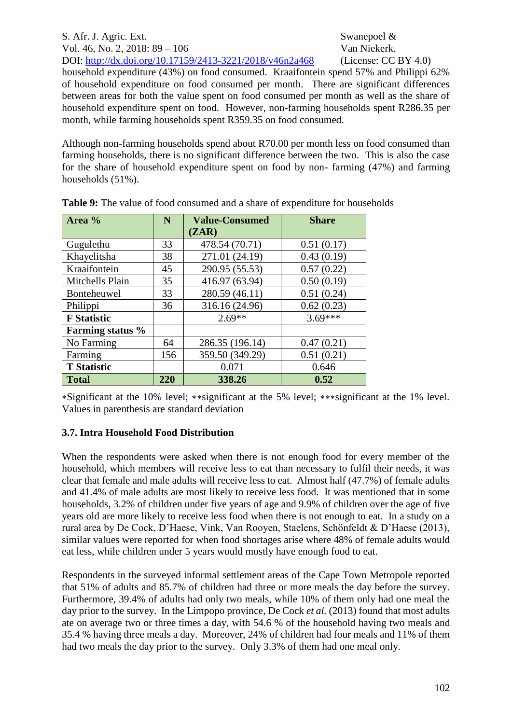S. Afr. J. Agric. Ext. Swanepoel & Vol. 46, No. 2, 2018: 89 – 106 Van Niekerk. DOI: <http://dx.doi.org/10.17159/2413-3221/2018/v46n2a468> (License: CC BY 4.0) household expenditure (43%) on food consumed. Kraaifontein spend 57% and Philippi 62% of household expenditure on food consumed per month. There are significant differences between areas for both the value spent on food consumed per month as well as the share of household expenditure spent on food. However, non-farming households spent R286.35 per month, while farming households spent R359.35 on food consumed.

Although non-farming households spend about R70.00 per month less on food consumed than farming households, there is no significant difference between the two. This is also the case for the share of household expenditure spent on food by non- farming (47%) and farming households (51%).

| Area %                  | N   | <b>Value-Consumed</b> | <b>Share</b> |
|-------------------------|-----|-----------------------|--------------|
|                         |     | (ZAR)                 |              |
| Gugulethu               | 33  | 478.54 (70.71)        | 0.51(0.17)   |
| Khayelitsha             | 38  | 271.01 (24.19)        | 0.43(0.19)   |
| Kraaifontein            | 45  | 290.95 (55.53)        | 0.57(0.22)   |
| Mitchells Plain         | 35  | 416.97 (63.94)        | 0.50(0.19)   |
| <b>Bonteheuwel</b>      | 33  | 280.59 (46.11)        | 0.51(0.24)   |
| Philippi                | 36  | 316.16 (24.96)        | 0.62(0.23)   |
| <b>F</b> Statistic      |     | $2.69**$              | $3.69***$    |
| <b>Farming status</b> % |     |                       |              |
| No Farming              | 64  | 286.35 (196.14)       | 0.47(0.21)   |
| Farming                 | 156 | 359.50 (349.29)       | 0.51(0.21)   |
| <b>T</b> Statistic      |     | 0.071                 | 0.646        |
| <b>Total</b>            | 220 | 338.26                | 0.52         |

<span id="page-13-0"></span>**Table 9:** The value of food consumed and a share of expenditure for households

∗Significant at the 10% level; ∗∗significant at the 5% level; ∗∗∗significant at the 1% level. Values in parenthesis are standard deviation

# **3.7. Intra Household Food Distribution**

When the respondents were asked when there is not enough food for every member of the household, which members will receive less to eat than necessary to fulfil their needs, it was clear that female and male adults will receive less to eat. Almost half (47.7%) of female adults and 41.4% of male adults are most likely to receive less food. It was mentioned that in some households, 3.2% of children under five years of age and 9.9% of children over the age of five years old are more likely to receive less food when there is not enough to eat. In a study on a rural area by De Cock, D'Haese, Vink, Van Rooyen, Staelens, Schönfeldt & D'Haese (2013), similar values were reported for when food shortages arise where 48% of female adults would eat less, while children under 5 years would mostly have enough food to eat.

Respondents in the surveyed informal settlement areas of the Cape Town Metropole reported that 51% of adults and 85.7% of children had three or more meals the day before the survey. Furthermore, 39.4% of adults had only two meals, while 10% of them only had one meal the day prior to the survey. In the Limpopo province, De Cock *et al.* (2013) found that most adults ate on average two or three times a day, with 54.6 % of the household having two meals and 35.4 % having three meals a day. Moreover, 24% of children had four meals and 11% of them had two meals the day prior to the survey. Only 3.3% of them had one meal only.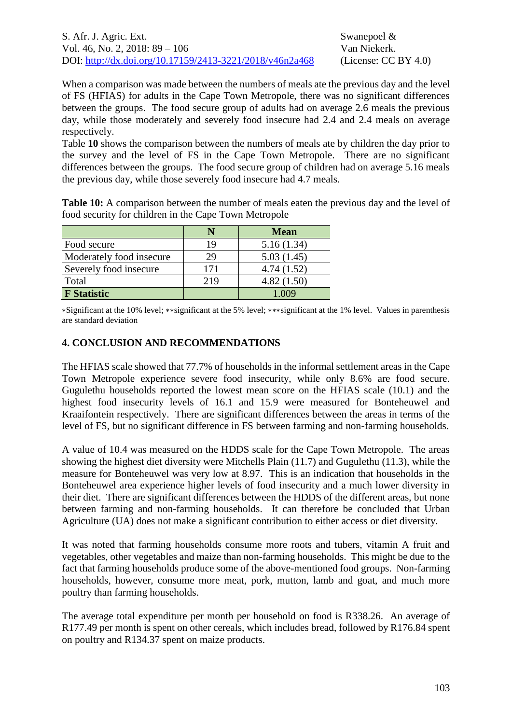When a comparison was made between the numbers of meals ate the previous day and the level of FS (HFIAS) for adults in the Cape Town Metropole, there was no significant differences between the groups. The food secure group of adults had on average 2.6 meals the previous day, while those moderately and severely food insecure had 2.4 and 2.4 meals on average respectively.

[Table](#page-14-0) **10** shows the comparison between the numbers of meals ate by children the day prior to the survey and the level of FS in the Cape Town Metropole. There are no significant differences between the groups. The food secure group of children had on average 5.16 meals the previous day, while those severely food insecure had 4.7 meals.

<span id="page-14-0"></span>**Table 10:** A comparison between the number of meals eaten the previous day and the level of food security for children in the Cape Town Metropole

|                          |     | <b>Mean</b> |
|--------------------------|-----|-------------|
| Food secure              | 19  | 5.16(1.34)  |
| Moderately food insecure | 29  | 5.03(1.45)  |
| Severely food insecure   | 171 | 4.74(1.52)  |
| Total                    | 219 | 4.82(1.50)  |
| <b>F</b> Statistic       |     | 1.009       |

∗Significant at the 10% level; ∗∗significant at the 5% level; ∗∗∗significant at the 1% level. Values in parenthesis are standard deviation

#### **4. CONCLUSION AND RECOMMENDATIONS**

The HFIAS scale showed that 77.7% of households in the informal settlement areas in the Cape Town Metropole experience severe food insecurity, while only 8.6% are food secure. Gugulethu households reported the lowest mean score on the HFIAS scale (10.1) and the highest food insecurity levels of 16.1 and 15.9 were measured for Bonteheuwel and Kraaifontein respectively. There are significant differences between the areas in terms of the level of FS, but no significant difference in FS between farming and non-farming households.

A value of 10.4 was measured on the HDDS scale for the Cape Town Metropole. The areas showing the highest diet diversity were Mitchells Plain (11.7) and Gugulethu (11.3), while the measure for Bonteheuwel was very low at 8.97. This is an indication that households in the Bonteheuwel area experience higher levels of food insecurity and a much lower diversity in their diet. There are significant differences between the HDDS of the different areas, but none between farming and non-farming households. It can therefore be concluded that Urban Agriculture (UA) does not make a significant contribution to either access or diet diversity.

It was noted that farming households consume more roots and tubers, vitamin A fruit and vegetables, other vegetables and maize than non-farming households. This might be due to the fact that farming households produce some of the above-mentioned food groups. Non-farming households, however, consume more meat, pork, mutton, lamb and goat, and much more poultry than farming households.

The average total expenditure per month per household on food is R338.26. An average of R177.49 per month is spent on other cereals, which includes bread, followed by R176.84 spent on poultry and R134.37 spent on maize products.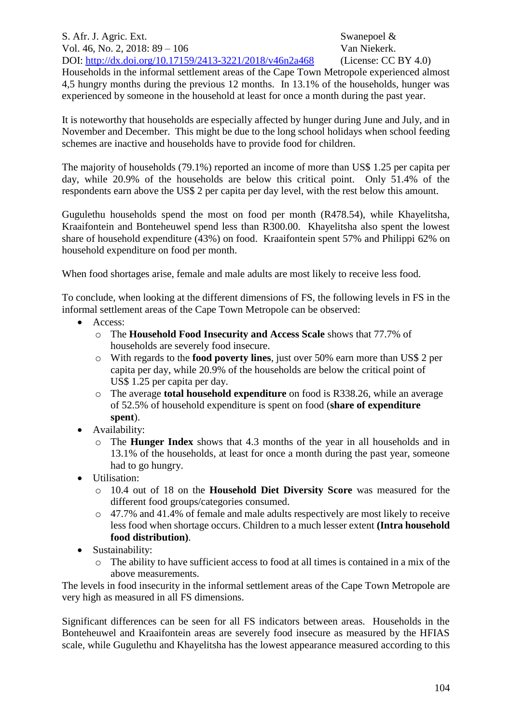Households in the informal settlement areas of the Cape Town Metropole experienced almost 4,5 hungry months during the previous 12 months. In 13.1% of the households, hunger was experienced by someone in the household at least for once a month during the past year.

It is noteworthy that households are especially affected by hunger during June and July, and in November and December. This might be due to the long school holidays when school feeding schemes are inactive and households have to provide food for children.

The majority of households (79.1%) reported an income of more than US\$ 1.25 per capita per day, while 20.9% of the households are below this critical point. Only 51.4% of the respondents earn above the US\$ 2 per capita per day level, with the rest below this amount.

Gugulethu households spend the most on food per month (R478.54), while Khayelitsha, Kraaifontein and Bonteheuwel spend less than R300.00. Khayelitsha also spent the lowest share of household expenditure (43%) on food. Kraaifontein spent 57% and Philippi 62% on household expenditure on food per month.

When food shortages arise, female and male adults are most likely to receive less food.

To conclude, when looking at the different dimensions of FS, the following levels in FS in the informal settlement areas of the Cape Town Metropole can be observed:

- Access:
	- o The **Household Food Insecurity and Access Scale** shows that 77.7% of households are severely food insecure.
	- o With regards to the **food poverty lines**, just over 50% earn more than US\$ 2 per capita per day, while 20.9% of the households are below the critical point of US\$ 1.25 per capita per day.
	- o The average **total household expenditure** on food is R338.26, while an average of 52.5% of household expenditure is spent on food (**share of expenditure spent**).
- Availability:
	- o The **Hunger Index** shows that 4.3 months of the year in all households and in 13.1% of the households, at least for once a month during the past year, someone had to go hungry.
- Utilisation:
	- o 10.4 out of 18 on the **Household Diet Diversity Score** was measured for the different food groups/categories consumed.
	- o 47.7% and 41.4% of female and male adults respectively are most likely to receive less food when shortage occurs. Children to a much lesser extent **(Intra household food distribution)**.
- Sustainability:
	- o The ability to have sufficient access to food at all times is contained in a mix of the above measurements.

The levels in food insecurity in the informal settlement areas of the Cape Town Metropole are very high as measured in all FS dimensions.

Significant differences can be seen for all FS indicators between areas. Households in the Bonteheuwel and Kraaifontein areas are severely food insecure as measured by the HFIAS scale, while Gugulethu and Khayelitsha has the lowest appearance measured according to this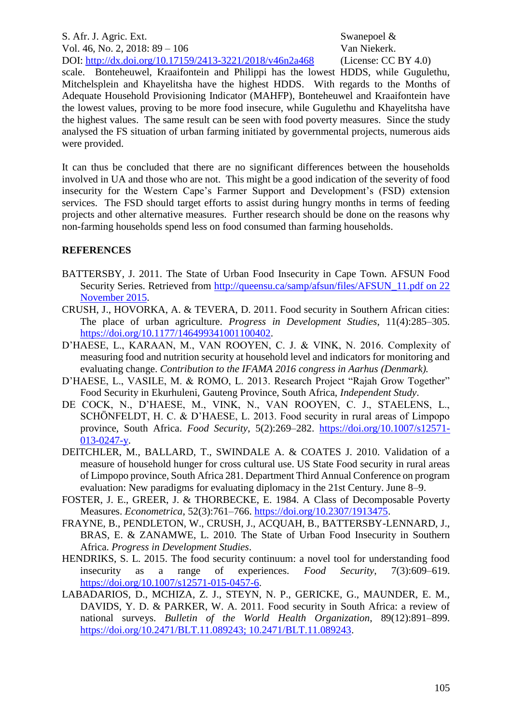scale. Bonteheuwel, Kraaifontein and Philippi has the lowest HDDS, while Gugulethu, Mitchelsplein and Khayelitsha have the highest HDDS. With regards to the Months of Adequate Household Provisioning Indicator (MAHFP), Bonteheuwel and Kraaifontein have the lowest values, proving to be more food insecure, while Gugulethu and Khayelitsha have the highest values. The same result can be seen with food poverty measures. Since the study analysed the FS situation of urban farming initiated by governmental projects, numerous aids were provided.

It can thus be concluded that there are no significant differences between the households involved in UA and those who are not. This might be a good indication of the severity of food insecurity for the Western Cape's Farmer Support and Development's (FSD) extension services. The FSD should target efforts to assist during hungry months in terms of feeding projects and other alternative measures. Further research should be done on the reasons why non-farming households spend less on food consumed than farming households.

#### **REFERENCES**

- BATTERSBY, J. 2011. The State of Urban Food Insecurity in Cape Town. AFSUN Food Security Series. Retrieved from [http://queensu.ca/samp/afsun/files/AFSUN\\_11.pdf on 22](http://queensu.ca/samp/afsun/files/AFSUN_11.pdf%20on%2022%20November%202015)  [November 2015.](http://queensu.ca/samp/afsun/files/AFSUN_11.pdf%20on%2022%20November%202015)
- CRUSH, J., HOVORKA, A. & TEVERA, D. 2011. Food security in Southern African cities: The place of urban agriculture. *Progress in Development Studies*, 11(4):285–305. [https://doi.org/10.1177/146499341001100402.](https://doi.org/10.1177/146499341001100402)
- D'HAESE, L., KARAAN, M., VAN ROOYEN, C. J. & VINK, N. 2016. Complexity of measuring food and nutrition security at household level and indicators for monitoring and evaluating change. *Contribution to the IFAMA 2016 congress in Aarhus (Denmark).*
- D'HAESE, L., VASILE, M. & ROMO, L. 2013. Research Project "Rajah Grow Together" Food Security in Ekurhuleni, Gauteng Province, South Africa, *Independent Study*.
- DE COCK, N., D'HAESE, M., VINK, N., VAN ROOYEN, C. J., STAELENS, L., SCHÖNFELDT, H. C. & D'HAESE, L. 2013. Food security in rural areas of Limpopo province, South Africa. *Food Security*, 5(2):269–282. [https://doi.org/10.1007/s12571-](https://doi.org/10.1007/s12571-013-0247-y) [013-0247-y.](https://doi.org/10.1007/s12571-013-0247-y)
- DEITCHLER, M., BALLARD, T., SWINDALE A. & COATES J. 2010. Validation of a measure of household hunger for cross cultural use. US State Food security in rural areas of Limpopo province, South Africa 281. Department Third Annual Conference on program evaluation: New paradigms for evaluating diplomacy in the 21st Century. June 8–9.
- FOSTER, J. E., GREER, J. & THORBECKE, E. 1984. A Class of Decomposable Poverty Measures. *Econometrica*, 52(3):761–766. [https://doi.org/10.2307/1913475.](https://doi.org/10.2307/1913475)
- FRAYNE, B., PENDLETON, W., CRUSH, J., ACQUAH, B., BATTERSBY-LENNARD, J., BRAS, E. & ZANAMWE, L. 2010. The State of Urban Food Insecurity in Southern Africa. *Progress in Development Studies*.
- HENDRIKS, S. L. 2015. The food security continuum: a novel tool for understanding food insecurity as a range of experiences. *Food Security*, 7(3):609–619. [https://doi.org/10.1007/s12571-015-0457-6.](https://doi.org/10.1007/s12571-015-0457-6)
- LABADARIOS, D., MCHIZA, Z. J., STEYN, N. P., GERICKE, G., MAUNDER, E. M., DAVIDS, Y. D. & PARKER, W. A. 2011. Food security in South Africa: a review of national surveys. *Bulletin of the World Health Organization*, 89(12):891–899. [https://doi.org/10.2471/BLT.11.089243; 10.2471/BLT.11.089243.](https://doi.org/10.2471/BLT.11.089243;%2010.2471/BLT.11.089243)